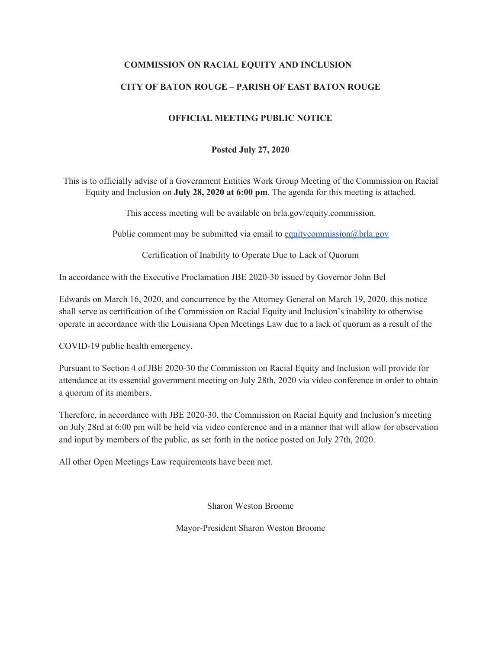## **COMMISSION ON RACIAL EQUITY AND INCLUSION**

## **CITY OF BATON ROUGE – PARISH OF EAST BATON ROUGE**

### **OFFICIAL MEETING PUBLIC NOTICE**

#### **Posted July 27, 2020**

This is to officially advise of a Government Entities Work Group Meeting of the Commission on Racial Equity and Inclusion on **July 28, 2020 at 6:00 pm**. The agenda for this meeting is attached.

This access meeting will be available on brla.gov/equity.commission.

Public comment may be submitted via email to [equitycommission@brla.gov](mailto:equitycommission@brla.gov)

Certification of Inability to Operate Due to Lack of Quorum

In accordance with the Executive Proclamation JBE 2020-30 issued by Governor John Bel

Edwards on March 16, 2020, and concurrence by the Attorney General on March 19, 2020, this notice shall serve as certification of the Commission on Racial Equity and Inclusion's inability to otherwise operate in accordance with the Louisiana Open Meetings Law due to a lack of quorum as a result of the

COVID-19 public health emergency.

Pursuant to Section 4 of JBE 2020-30 the Commission on Racial Equity and Inclusion will provide for attendance at its essential government meeting on July 28th, 2020 via video conference in order to obtain a quorum of its members.

Therefore, in accordance with JBE 2020-30, the Commission on Racial Equity and Inclusion's meeting on July 28rd at 6:00 pm will be held via video conference and in a manner that will allow for observation and input by members of the public, as set forth in the notice posted on July 27th, 2020.

All other Open Meetings Law requirements have been met.

Sharon Weston Broome

Mayor-President Sharon Weston Broome